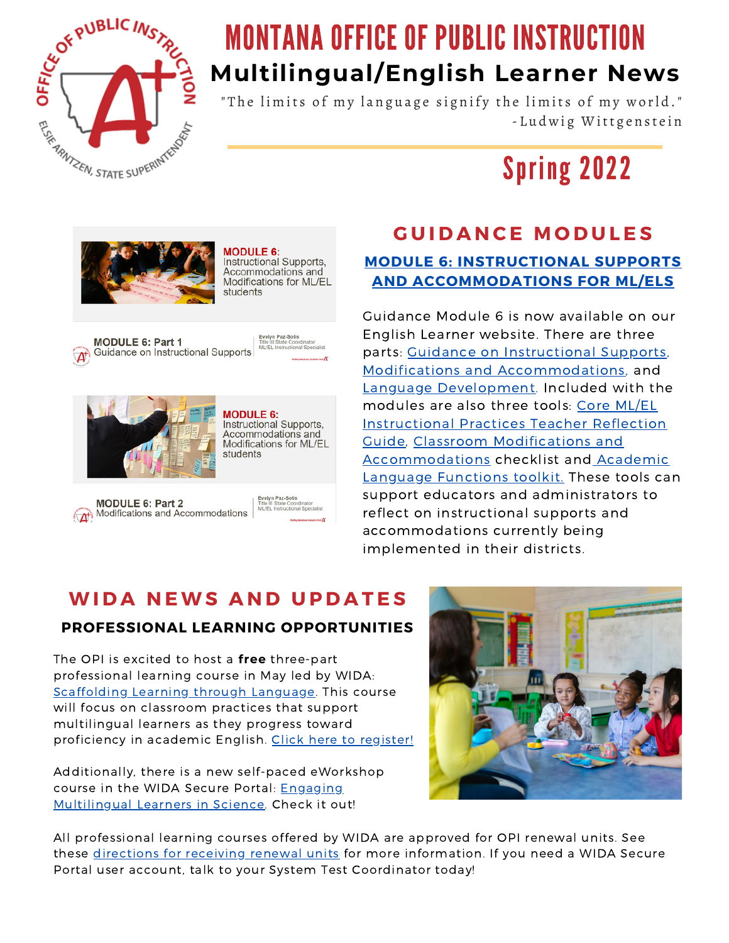

# MONTANA OFFICE OF PUBLIC INSTRUCTION **Multilingual/English Learner News**

" The limits of my language signify the limits of my world." - Ludwig Wittgenstein

Spring 2022



**MODULE 6:** Instructional Supports. nistractional capports,<br>Accommodations and Modifications for ML/EL students

**MODULE 6: Part 1** Guidance on Instructional Supports



**MODULE 6:** Instructional Supports. Accommodations and Modifications for ML/EL students

**MODULE 6: Part 2** Modifications and Accommodations



#### **G U I D A N C E M O D U L E S MODULE 6: INSTRUCTIONAL SUPPORTS AND [ACCOMMODATIONS](https://opi.mt.gov/Families-Students/Family-Student-Support/English-Learners#9952411310-guidance-for-serving-elsmls) FOR ML/ELS**

Guidance Module 6 is now available on our English Learner website. There are three parts: Guidance on [Instructional](https://www.youtube.com/watch?v=GoMC4_Fz9X4&feature=youtu.be) Supports, Modifications and [Accommodations,](https://www.youtube.com/watch?v=c1hNUYkELRM) and Language [Development](https://youtu.be/0AqsRBMRkGg). Included with the modules are also three tools: Core ML/EL Instructional Practices Teacher Reflection Guide, Classroom [Modifications](https://opi.mt.gov/Portals/182/Page%20Files/English%20Language%20Learners/Docs/Core%20ML_EL%20Instructional%20Pratices%20Teacher%20Reflection%20Guide.docx%20(1).pdf?ver=2022-03-21-141137-743) and [Accommodations](https://opi.mt.gov/Portals/182/Page%20Files/English%20Language%20Learners/Docs/Classroom%20Modifications%20and%20Accommodations%20for%20ML_EL%20students.docx%20(1).pdf?ver=2022-03-21-141129-707) checklist and Academic Language Functions toolkit. These tools can support educators and administrators to reflect on instructional supports and accommodations currently being implemented in their districts.

# **WI D A N EWS A N D U P D A T E S PROFESSIONAL LEARNING OPPORTUNITIES**

The OPI is excited to host a **free** three-part professional learning course in May led by WIDA: Scaffolding Learning through [Language](https://opi.mt.gov/Portals/182/Page%20Files/English%20Language%20Learners/Docs/WIDA%20Facilitated%20eWorkshop%20Flyer%20Spring%202022.pdf). This course will focus on classroom practices that support multilingual learners as they progress toward proficiency in academic English. Click here to [register!](https://forms.gle/Vyt6NWVV3boV6H9M6)

Additionally, there is a new self-paced eWorkshop course in the WIDA Secure Portal: Engaging [Multilingual](https://portal.wida.us/course/detail/msm-phenomena) Learners in Science. Check it out!



All professional learning courses offered by WIDA are approved for OPI renewal units. See these [directions](http://opi.mt.gov/Portals/182/Page%20Files/Statewide%20Testing/ELP%20Page/Professional%20Development/WIDA%20eWorkshop%20Renewal%20Units.pdf) for receiving renewal units for more information. If you need a WIDA Secure Portal user account, talk to your System Test Coordinator today!